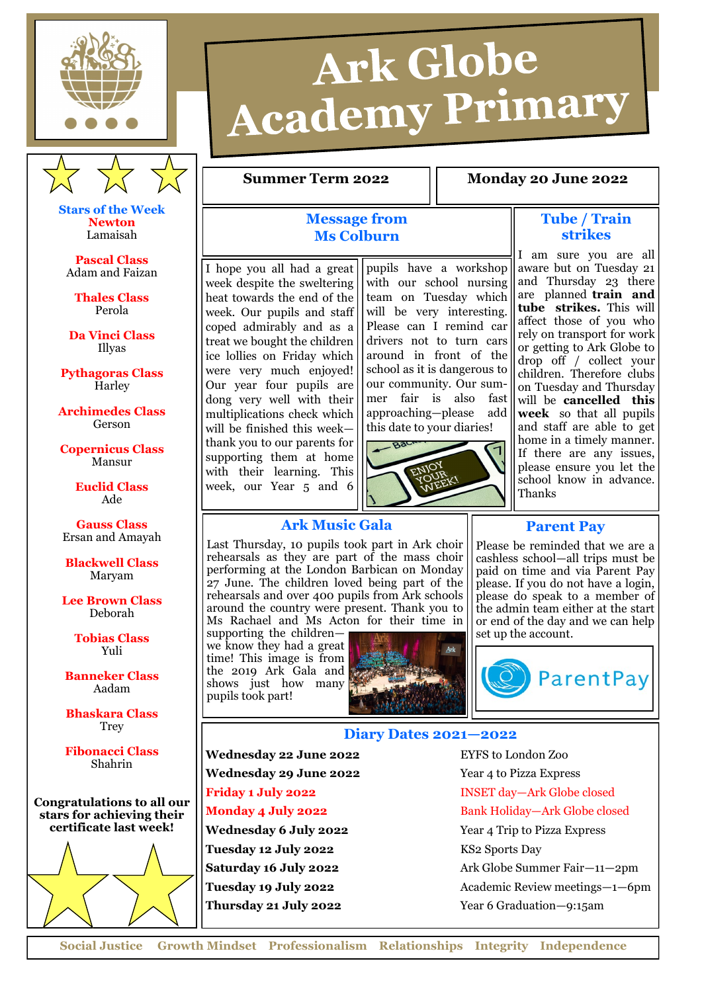



**Stars of the Week Newton** Lamaisah

**Pascal Class** Adam and Faizan

**Thales Class** Perola

**Da Vinci Class** Illyas

**Pythagoras Class Harley** 

**Archimedes Class** Gerson

**Copernicus Class**

Mansur **Euclid Class**

Ade

**Gauss Class** Ersan and Amayah

**Blackwell Class** Maryam

**Lee Brown Class** Deborah

> **Tobias Class** Yuli

**Banneker Class** Aadam

**Bhaskara Class Trey** 

**Fibonacci Class** Shahrin

**Congratulations to all our stars for achieving their certificate last week!** 



# Ark Globe **Academy Primary**

#### **Summer Term 2022 1.8 Monday 20 June 2022**

### **Message from Ms Colburn**

I hope you all had a great week despite the sweltering heat towards the end of the week. Our pupils and staff coped admirably and as a treat we bought the children ice lollies on Friday which were very much enjoyed! Our year four pupils are dong very well with their multiplications check which will be finished this week thank you to our parents for supporting them at home with their learning. This week, our Year 5 and 6

pupils have a workshop with our school nursing team on Tuesday which will be very interesting. Please can I remind car drivers not to turn cars around in front of the school as it is dangerous to our community. Our summer fair is also fast approaching—please add this date to your diaries!



#### **Tube / Train strikes**

I am sure you are all aware but on Tuesday 21 and Thursday 23 there are planned **train and tube strikes.** This will affect those of you who rely on transport for work or getting to Ark Globe to drop off / collect your children. Therefore clubs on Tuesday and Thursday will be **cancelled this week** so that all pupils and staff are able to get home in a timely manner. If there are any issues, please ensure you let the school know in advance. Thanks

### **Ark Music Gala**

Last Thursday, 10 pupils took part in Ark choir rehearsals as they are part of the mass choir performing at the London Barbican on Monday 27 June. The children loved being part of the rehearsals and over 400 pupils from Ark schools around the country were present. Thank you to Ms Rachael and Ms Acton for their time in

supporting the children we know they had a great time! This image is from the 2019 Ark Gala and shows just how many pupils took part!



## Please be reminded that we are a cashless school—all trips must be

**Parent Pay**

paid on time and via Parent Pay please. If you do not have a login, please do speak to a member of the admin team either at the start or end of the day and we can help set up the account.



### **Diary Dates 2021—2022**

Wednesday 22 June 2022<br>
EYFS to London Zoo **Wednesday 29 June 2022** Year 4 to Pizza Express

**Tuesday 12 July 2022** KS2 Sports Day

**Friday 1 July 2022** INSET day-Ark Globe closed **Monday 4 July 2022** Bank Holiday—Ark Globe closed **Wednesday 6 July 2022** Year 4 Trip to Pizza Express **Saturday 16 July 2022** Ark Globe Summer Fair-11-2pm **Tuesday 19 July 2022** Academic Review meetings—1—6pm **Thursday 21 July 2022** Year 6 Graduation—9:15am

**Social Justice Growth Mindset Professionalism Relationships Integrity Independence**